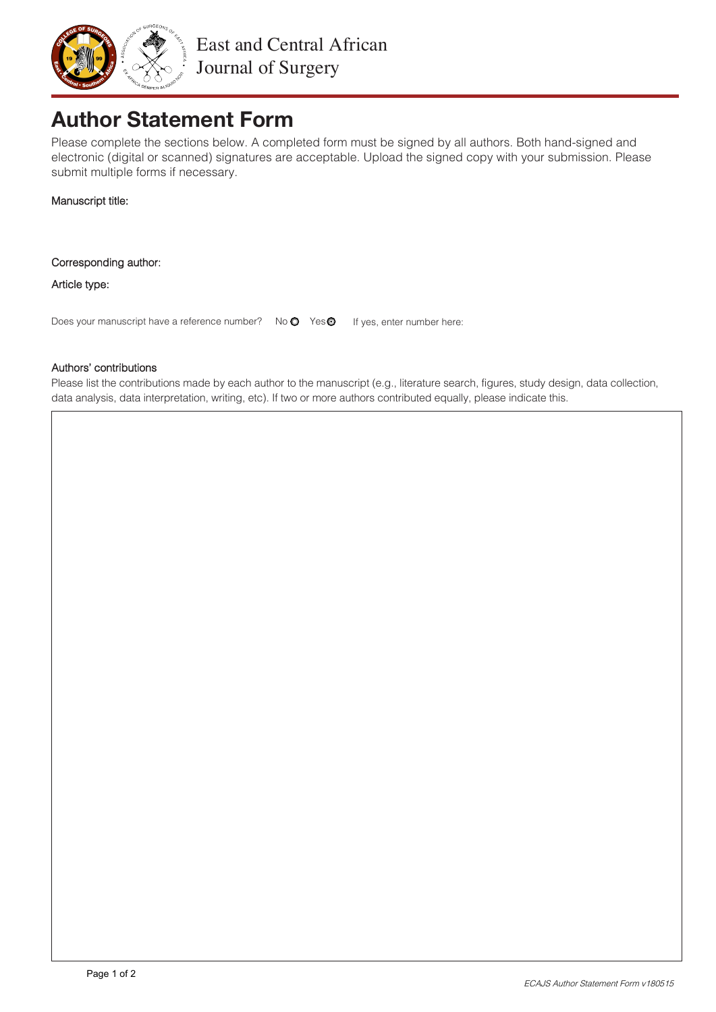

# **Author Statement Form**

Please complete the sections below. A completed form must be signed by all authors. Both hand-signed and electronic (digital or scanned) signatures are acceptable. Upload the signed copy with your submission. Please submit multiple forms if necessary.

Manuscript title:

Corresponding author:

Article type:

Does your manuscript have a reference number? No  $\bullet$  Yes  $\bullet$  If yes, enter number here:

# Authors' contributions

Please list the contributions made by each author to the manuscript (e.g., literature search, figures, study design, data collection, data analysis, data interpretation, writing, etc). If two or more authors contributed equally, please indicate this.